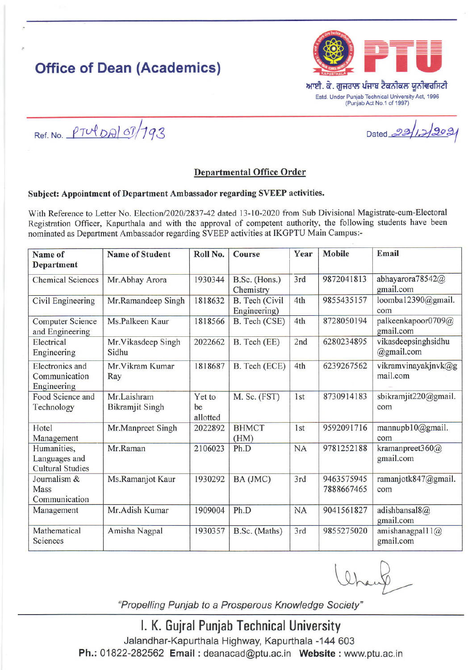# **Office of Dean (Academics)**



Estd. Under Punjab Technical University Act, 1996 (Punjab Act No.1 of 1997)

Ref. No.  $PTU|DA|O7/793$ 

### Departmental Office Order

#### Subject: Appointment of Department Ambassador regarding SVEEP activities.

With Reference to Letter No. Election/2020/2837-42 dated 13-10-2020 from Sub Divisional Magistrate-cum-Electoral Registration Officer, Kapurthala and with the approval of competent authority, the following students have been nominated as Department Ambassador regarding SVEEP activities at IKGPTU Main Campus:-

| Name of<br><b>Department</b>                            | <b>Name of Student</b>                | Roll No.                 | <b>Course</b>                  | Year            | <b>Mobile</b>            | Email                                     |
|---------------------------------------------------------|---------------------------------------|--------------------------|--------------------------------|-----------------|--------------------------|-------------------------------------------|
| <b>Chemical Sciences</b>                                | Mr.Abhay Arora                        | 1930344                  | B.Sc. (Hons.)<br>Chemistry     | 3rd             | 9872041813               | abhayarora78542@<br>gmail.com             |
| Civil Engineering                                       | Mr.Ramandeep Singh                    | 1818632                  | B. Tech (Civil<br>Engineering) | 4th             | 9855435157               | loomba12390@gmail.<br>com                 |
| <b>Computer Science</b><br>and Engineering              | Ms.Palkeen Kaur                       | 1818566                  | B. Tech (CSE)                  | 4th             | 8728050194               | palkeenkapoor0709@<br>gmail.com           |
| Electrical<br>Engineering                               | Mr. Vikas deep Singh<br>Sidhu         | 2022662                  | B. Tech (EE)                   | 2nd             | 6280234895               | vikasdeepsinghsidhu<br>$\omega$ gmail.com |
| Electronics and<br>Communication<br>Engineering         | Mr. Vikram Kumar<br>Ray               | 1818687                  | B. Tech (ECE)                  | 4th             | 6239267562               | vikramvinayakjnvk@g<br>mail.com           |
| Food Science and<br>Technology                          | Mr.Laishram<br><b>Bikramjit Singh</b> | Yet to<br>be<br>allotted | M. Sc. (FST)                   | 1 <sub>st</sub> | 8730914183               | sbikramjit220@gmail.<br>com               |
| Hotel<br>Management                                     | Mr.Manpreet Singh                     | 2022892                  | <b>BHMCT</b><br>(HM)           | 1 <sub>st</sub> | 9592091716               | mannupb10@gmail.<br>com                   |
| Humanities,<br>Languages and<br><b>Cultural Studies</b> | Mr.Raman                              | 2106023                  | Ph.D                           | <b>NA</b>       | 9781252188               | kramanpreet360 $(a)$<br>gmail.com         |
| Journalism &<br>Mass<br>Communication                   | Ms.Ramanjot Kaur                      | 1930292                  | BA (JMC)                       | 3rd             | 9463575945<br>7888667465 | ramanjotk847@gmail.<br>com                |
| Management                                              | Mr.Adish Kumar                        | 1909004                  | Ph.D                           | <b>NA</b>       | 9041561827               | adishbansal8@<br>gmail.com                |
| Mathematical<br>Sciences                                | Amisha Nagpal                         | 1930357                  | B.Sc. (Maths)                  | 3rd             | 9855275020               | amishanagpal11@<br>gmail.com              |

 $\mathcal{O}$ 

"Propelling Punjab to a Prosperous Knowledge Society'

l. K. Gujral Punjab Technical University Jalandhar-Kapurthala Highway, Kapurthala -144 603 Ph.: 01822-282562 Email : deanacad@ptu.ac.in Website : www.ptu.ac.in